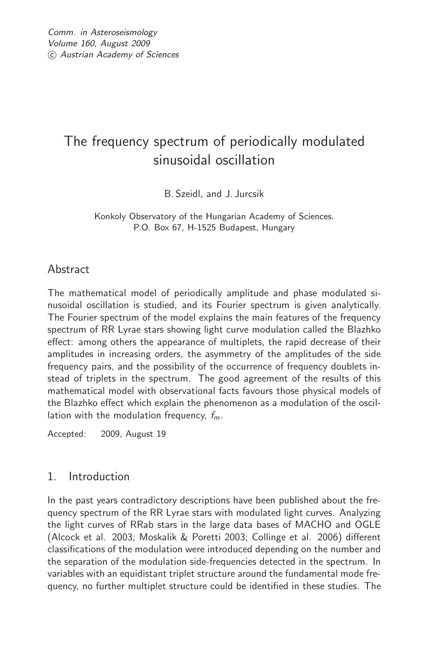# The frequency spectrum of periodically modulated sinusoidal oscillation

B. Szeidl, and J. Jurcsik

#### Konkoly Observatory of the Hungarian Academy of Sciences. P.O. Box 67, H-1525 Budapest, Hungary

# Abstract

The mathematical model of periodically amplitude and phase modulated sinusoidal oscillation is studied, and its Fourier spectrum is given analytically. The Fourier spectrum of the model explains the main features of the frequency spectrum of RR Lyrae stars showing light curve modulation called the Blazhko effect: among others the appearance of multiplets, the rapid decrease of their amplitudes in increasing orders, the asymmetry of the amplitudes of the side frequency pairs, and the possibility of the occurrence of frequency doublets instead of triplets in the spectrum. The good agreement of the results of this mathematical model with observational facts favours those physical models of the Blazhko effect which explain the phenomenon as a modulation of the oscillation with the modulation frequency,  $f_m$ .

Accepted: 2009, August 19

## 1. Introduction

In the past years contradictory descriptions have been published about the frequency spectrum of the RR Lyrae stars with modulated light curves. Analyzing the light curves of RRab stars in the large data bases of MACHO and OGLE (Alcock et al. 2003; Moskalik & Poretti 2003; Collinge et al. 2006) different classifications of the modulation were introduced depending on the number and the separation of the modulation side-frequencies detected in the spectrum. In variables with an equidistant triplet structure around the fundamental mode frequency, no further multiplet structure could be identified in these studies. The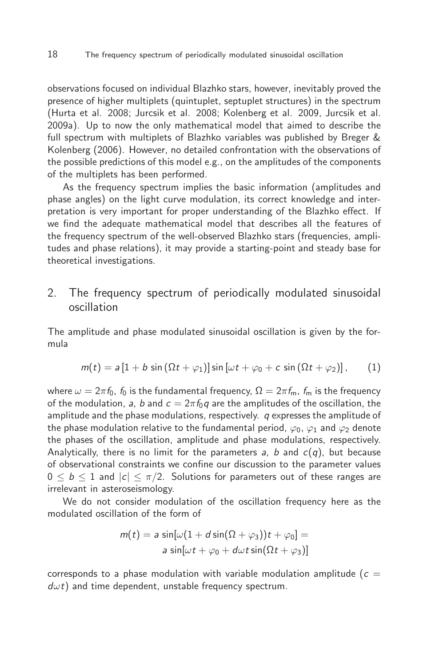observations focused on individual Blazhko stars, however, inevitably proved the presence of higher multiplets (quintuplet, septuplet structures) in the spectrum (Hurta et al. 2008; Jurcsik et al. 2008; Kolenberg et al. 2009, Jurcsik et al. 2009a). Up to now the only mathematical model that aimed to describe the full spectrum with multiplets of Blazhko variables was published by Breger & Kolenberg (2006). However, no detailed confrontation with the observations of the possible predictions of this model e.g., on the amplitudes of the components of the multiplets has been performed.

As the frequency spectrum implies the basic information (amplitudes and phase angles) on the light curve modulation, its correct knowledge and interpretation is very important for proper understanding of the Blazhko effect. If we find the adequate mathematical model that describes all the features of the frequency spectrum of the well-observed Blazhko stars (frequencies, amplitudes and phase relations), it may provide a starting-point and steady base for theoretical investigations.

## 2. The frequency spectrum of periodically modulated sinusoidal oscillation

The amplitude and phase modulated sinusoidal oscillation is given by the formula

$$
m(t) = a [1 + b \sin (\Omega t + \varphi_1)] \sin [\omega t + \varphi_0 + c \sin (\Omega t + \varphi_2)], \qquad (1)
$$

where  $\omega = 2\pi f_0$ ,  $f_0$  is the fundamental frequency,  $\Omega = 2\pi f_m$ ,  $f_m$  is the frequency of the modulation, *a*, *b* and  $c = 2\pi f_0 q$  are the amplitudes of the oscillation, the amplitude and the phase modulations, respectively. *q* expresses the amplitude of the phase modulation relative to the fundamental period,  $\varphi_0$ ,  $\varphi_1$  and  $\varphi_2$  denote the phases of the oscillation, amplitude and phase modulations, respectively. Analytically, there is no limit for the parameters  $a$ ,  $b$  and  $c(q)$ , but because of observational constraints we confine our discussion to the parameter values  $0 \leq b \leq 1$  and  $|c| \leq \pi/2$ . Solutions for parameters out of these ranges are irrelevant in asteroseismology.

We do not consider modulation of the oscillation frequency here as the modulated oscillation of the form of

$$
m(t) = a \sin[\omega(1 + d \sin(\Omega + \varphi_3))t + \varphi_0] =
$$
  

$$
a \sin[\omega t + \varphi_0 + d\omega t \sin(\Omega t + \varphi_3)]
$$

corresponds to a phase modulation with variable modulation amplitude  $(c =$  $d\omega t$ ) and time dependent, unstable frequency spectrum.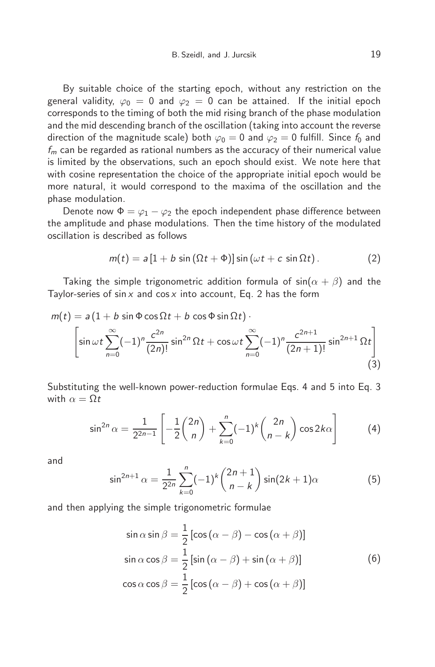By suitable choice of the starting epoch, without any restriction on the general validity,  $\varphi_0 = 0$  and  $\varphi_2 = 0$  can be attained. If the initial epoch corresponds to the timing of both the mid rising branch of the phase modulation and the mid descending branch of the oscillation (taking into account the reverse direction of the magnitude scale) both  $\varphi_0 = 0$  and  $\varphi_2 = 0$  fulfill. Since  $f_0$  and  $f_m$  can be regarded as rational numbers as the accuracy of their numerical value is limited by the observations, such an epoch should exist. We note here that with cosine representation the choice of the appropriate initial epoch would be more natural, it would correspond to the maxima of the oscillation and the phase modulation.

Denote now  $\Phi = \varphi_1 - \varphi_2$  the epoch independent phase difference between the amplitude and phase modulations. Then the time history of the modulated oscillation is described as follows

$$
m(t) = a[1 + b \sin(\Omega t + \Phi)]\sin(\omega t + c \sin \Omega t). \tag{2}
$$

Taking the simple trigonometric addition formula of sin $(\alpha + \beta)$  and the Taylor-series of sin *x* and cos *x* into account, Eq. 2 has the form

$$
m(t) = a\left(1+b\sin\Phi\cos\Omega t + b\cos\Phi\sin\Omega t\right)
$$

$$
\left[\sin\omega t \sum_{n=0}^{\infty} (-1)^n \frac{c^{2n}}{(2n)!} \sin^{2n}\Omega t + \cos\omega t \sum_{n=0}^{\infty} (-1)^n \frac{c^{2n+1}}{(2n+1)!} \sin^{2n+1}\Omega t\right]
$$
(3)

Substituting the well-known power-reduction formulae Eqs. 4 and 5 into Eq. 3 with  $\alpha = \Omega t$ 

$$
\sin^{2n} \alpha = \frac{1}{2^{2n-1}} \left[ -\frac{1}{2} {2n \choose n} + \sum_{k=0}^{n} (-1)^k {2n \choose n-k} \cos 2k\alpha \right]
$$
(4)

and

$$
\sin^{2n+1}\alpha = \frac{1}{2^{2n}}\sum_{k=0}^{n}(-1)^k \binom{2n+1}{n-k} \sin(2k+1)\alpha \tag{5}
$$

and then applying the simple trigonometric formulae

$$
\sin \alpha \sin \beta = \frac{1}{2} [\cos (\alpha - \beta) - \cos (\alpha + \beta)]
$$
  
\n
$$
\sin \alpha \cos \beta = \frac{1}{2} [\sin (\alpha - \beta) + \sin (\alpha + \beta)]
$$
  
\n
$$
\cos \alpha \cos \beta = \frac{1}{2} [\cos (\alpha - \beta) + \cos (\alpha + \beta)]
$$
\n(6)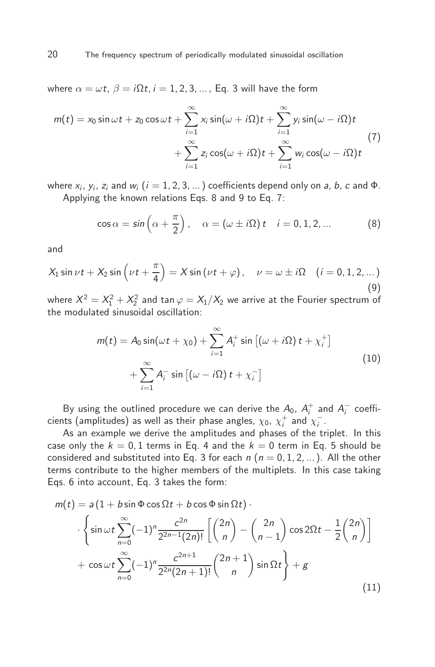where  $\alpha = \omega t$ ,  $\beta = i\Omega t$ ,  $i = 1, 2, 3, ...$ , Eq. 3 will have the form

$$
m(t) = x_0 \sin \omega t + z_0 \cos \omega t + \sum_{i=1}^{\infty} x_i \sin(\omega + i\Omega)t + \sum_{i=1}^{\infty} y_i \sin(\omega - i\Omega)t + \sum_{i=1}^{\infty} z_i \cos(\omega + i\Omega)t + \sum_{i=1}^{\infty} w_i \cos(\omega - i\Omega)t
$$
\n(7)

where  $x_i$ ,  $y_i$ ,  $z_i$  and  $w_i$   $(i=1,2,3,...)$  coefficients depend only on  $a,$   $b,$   $c$  and  $\Phi.$ Applying the known relations Eqs. 8 and 9 to Eq. 7:

> $\cos \alpha = \sin \left( \alpha + \frac{\pi}{2} \right)$ 2  $\alpha = (\omega \pm i\Omega) t \quad i = 0, 1, 2, ...$  (8)

and

$$
X_1 \sin \nu t + X_2 \sin \left(\nu t + \frac{\pi}{4}\right) = X \sin \left(\nu t + \varphi\right), \quad \nu = \omega \pm i\Omega \quad (i = 0, 1, 2, ...)
$$
\n(9)

where  $X^2 = X_1^2 + X_2^2$  and tan  $\varphi = X_1/X_2$  we arrive at the Fourier spectrum of the modulated sinusoidal oscillation:

$$
m(t) = A_0 \sin(\omega t + \chi_0) + \sum_{i=1}^{\infty} A_i^+ \sin[(\omega + i\Omega) t + \chi_i^+]
$$
  
+ 
$$
\sum_{i=1}^{\infty} A_i^- \sin[(\omega - i\Omega) t + \chi_i^-]
$$
 (10)

By using the outlined procedure we can derive the  $A_0$ ,  $A_i^+$  and  $A_i^-$  coefficients (amplitudes) as well as their phase angles,  $\chi_{0},\,\chi_{i}^{+}$  and  $\chi_{i}^{-}.$ 

As an example we derive the amplitudes and phases of the triplet. In this case only the  $k = 0, 1$  terms in Eq. 4 and the  $k = 0$  term in Eq. 5 should be considered and substituted into Eq. 3 for each  $n (n = 0, 1, 2, ...)$ . All the other terms contribute to the higher members of the multiplets. In this case taking Eqs. 6 into account, Eq. 3 takes the form:

$$
m(t) = a \left(1 + b \sin \Phi \cos \Omega t + b \cos \Phi \sin \Omega t\right) \cdot \left\{\sin \omega t \sum_{n=0}^{\infty} (-1)^n \frac{c^{2n}}{2^{2n-1}(2n)!} \left[ \binom{2n}{n} - \binom{2n}{n-1} \cos 2\Omega t - \frac{1}{2} \binom{2n}{n} \right] + \cos \omega t \sum_{n=0}^{\infty} (-1)^n \frac{c^{2n+1}}{2^{2n}(2n+1)!} \binom{2n+1}{n} \sin \Omega t \right\} + g \tag{11}
$$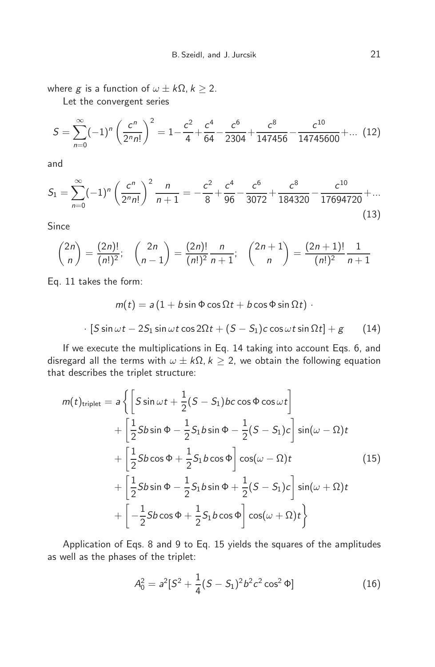where *g* is a function of  $\omega \pm k\Omega$ ,  $k \ge 2$ .

Let the convergent series

$$
S = \sum_{n=0}^{\infty} (-1)^n \left(\frac{c^n}{2^n n!}\right)^2 = 1 - \frac{c^2}{4} + \frac{c^4}{64} - \frac{c^6}{2304} + \frac{c^8}{147456} - \frac{c^{10}}{14745600} + \dots (12)
$$

and

$$
S_1 = \sum_{n=0}^{\infty} (-1)^n \left(\frac{c^n}{2^n n!}\right)^2 \frac{n}{n+1} = -\frac{c^2}{8} + \frac{c^4}{96} - \frac{c^6}{3072} + \frac{c^8}{184320} - \frac{c^{10}}{17694720} + \dots
$$
\n(13)

Since

$$
\binom{2n}{n} = \frac{(2n)!}{(n!)^2}; \quad \binom{2n}{n-1} = \frac{(2n)!}{(n!)^2} \frac{n}{n+1}; \quad \binom{2n+1}{n} = \frac{(2n+1)!}{(n!)^2} \frac{1}{n+1}
$$

Eq. 11 takes the form:

$$
m(t) = a(1 + b\sin\Phi\cos\Omega t + b\cos\Phi\sin\Omega t)
$$
  
. 
$$
[S\sin\omega t - 2S_1\sin\omega t\cos2\Omega t + (S - S_1)c\cos\omega t\sin\Omega t] + g
$$
 (14)

If we execute the multiplications in Eq. 14 taking into account Eqs. 6, and disregard all the terms with  $\omega \pm k\Omega$ ,  $k \geq 2$ , we obtain the following equation that describes the triplet structure:

$$
m(t)_{\text{triplet}} = a \left\{ \left[ S \sin \omega t + \frac{1}{2} (S - S_1) b c \cos \Phi \cos \omega t \right] + \left[ \frac{1}{2} S b \sin \Phi - \frac{1}{2} S_1 b \sin \Phi - \frac{1}{2} (S - S_1) c \right] \sin(\omega - \Omega) t + \left[ \frac{1}{2} S b \cos \Phi + \frac{1}{2} S_1 b \cos \Phi \right] \cos(\omega - \Omega) t + \left[ \frac{1}{2} S b \sin \Phi - \frac{1}{2} S_1 b \sin \Phi + \frac{1}{2} (S - S_1) c \right] \sin(\omega + \Omega) t + \left[ -\frac{1}{2} S b \cos \Phi + \frac{1}{2} S_1 b \cos \Phi \right] \cos(\omega + \Omega) t \right\}
$$
\n(15)

Application of Eqs. 8 and 9 to Eq. 15 yields the squares of the amplitudes as well as the phases of the triplet:

$$
A_0^2 = a^2 [S^2 + \frac{1}{4} (S - S_1)^2 b^2 c^2 \cos^2 \Phi]
$$
 (16)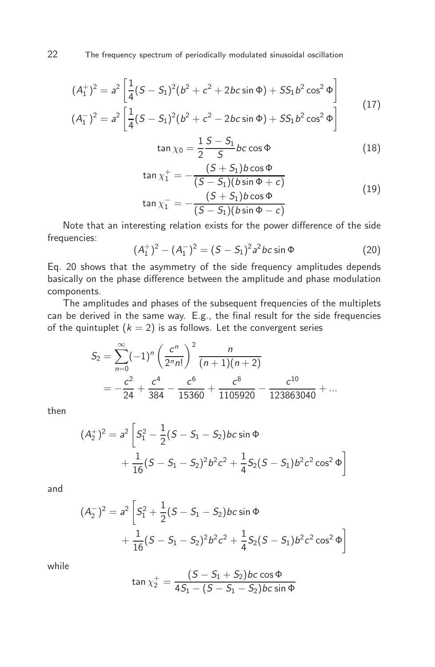22 The frequency spectrum of periodically modulated sinusoidal oscillation

$$
(A_1^+)^2 = a^2 \left[ \frac{1}{4} (S - S_1)^2 (b^2 + c^2 + 2bc \sin \Phi) + SS_1 b^2 \cos^2 \Phi \right]
$$
  

$$
(A_1^-)^2 = a^2 \left[ \frac{1}{4} (S - S_1)^2 (b^2 + c^2 - 2bc \sin \Phi) + SS_1 b^2 \cos^2 \Phi \right]
$$
 (17)

$$
\tan \chi_0 = \frac{1}{2} \frac{S - S_1}{S} bc \cos \Phi \tag{18}
$$

$$
\tan \chi_1^+ = -\frac{(S+S_1)b \cos \Phi}{(S-S_1)(b \sin \Phi + c)}
$$
  
\n
$$
\tan \chi_1^- = -\frac{(S+S_1)b \cos \Phi}{(S-S_1)(b \sin \Phi - c)}
$$
\n(19)

Note that an interesting relation exists for the power difference of the side frequencies:

$$
(A1+)2 - (A1-)2 = (S - S1)2 a2 bc sin  $\Phi$  (20)
$$

Eq. 20 shows that the asymmetry of the side frequency amplitudes depends basically on the phase difference between the amplitude and phase modulation components.

The amplitudes and phases of the subsequent frequencies of the multiplets can be derived in the same way. E.g., the final result for the side frequencies of the quintuplet  $(k = 2)$  is as follows. Let the convergent series

$$
S_2 = \sum_{n=0}^{\infty} (-1)^n \left(\frac{c^n}{2^n n!}\right)^2 \frac{n}{(n+1)(n+2)}
$$
  
=  $-\frac{c^2}{24} + \frac{c^4}{384} - \frac{c^6}{15360} + \frac{c^8}{1105920} - \frac{c^{10}}{123863040} + \dots$ 

then

$$
(A2+)2 = a2 \left[ S12 - \frac{1}{2} (S - S1 - S2) bc sin \Phi + \frac{1}{16} (S - S1 - S2)2 b2 c2 + \frac{1}{4} S2 (S - S1) b2 c2 cos2 \Phi \right]
$$

and

$$
(A_2^-)^2 = a^2 \left[ S_1^2 + \frac{1}{2} (S - S_1 - S_2) bc \sin \Phi + \frac{1}{16} (S - S_1 - S_2)^2 b^2 c^2 + \frac{1}{4} S_2 (S - S_1) b^2 c^2 \cos^2 \Phi \right]
$$

while

$$
\tan \chi_2^+ = \frac{(S - S_1 + S_2)bc \cos \Phi}{4S_1 - (S - S_1 - S_2)bc \sin \Phi}
$$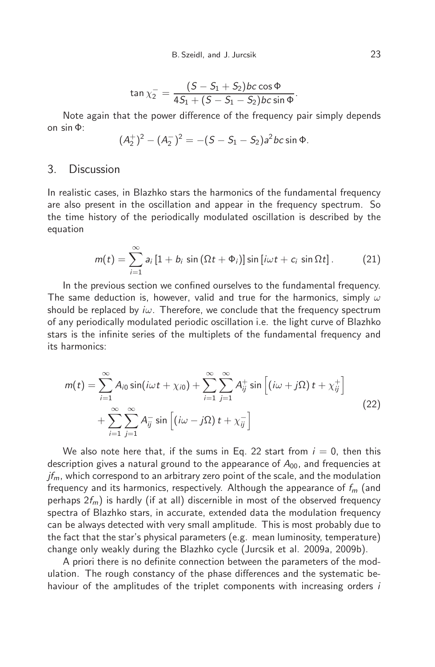$$
\tan \chi_2^- = \frac{(S - S_1 + S_2)bc \cos \Phi}{4S_1 + (S - S_1 - S_2)bc \sin \Phi}.
$$

Note again that the power difference of the frequency pair simply depends on sin Φ:

$$
(A2+)2 - (A2-)2 = -(S - S1 - S2)a2bc sin  $\Phi$ .
$$

#### 3. Discussion

In realistic cases, in Blazhko stars the harmonics of the fundamental frequency are also present in the oscillation and appear in the frequency spectrum. So the time history of the periodically modulated oscillation is described by the equation

$$
m(t) = \sum_{i=1}^{\infty} a_i \left[ 1 + b_i \sin \left( \Omega t + \Phi_i \right) \right] \sin \left[ i \omega t + c_i \sin \Omega t \right]. \tag{21}
$$

In the previous section we confined ourselves to the fundamental frequency. The same deduction is, however, valid and true for the harmonics, simply  $\omega$ should be replaced by  $i\omega$ . Therefore, we conclude that the frequency spectrum of any periodically modulated periodic oscillation i.e. the light curve of Blazhko stars is the infinite series of the multiplets of the fundamental frequency and its harmonics:

$$
m(t) = \sum_{i=1}^{\infty} A_{i0} \sin(i\omega t + \chi_{i0}) + \sum_{i=1}^{\infty} \sum_{j=1}^{\infty} A_{ij}^{+} \sin\left[(i\omega + j\Omega)t + \chi_{ij}^{+}\right] + \sum_{i=1}^{\infty} \sum_{j=1}^{\infty} A_{ij}^{-} \sin\left[(i\omega - j\Omega)t + \chi_{ij}^{-}\right]
$$
\n(22)

We also note here that, if the sums in Eq. 22 start from  $i = 0$ , then this description gives a natural ground to the appearance of  $A_{00}$ , and frequencies at *jf<sub>m</sub>*, which correspond to an arbitrary zero point of the scale, and the modulation frequency and its harmonics, respectively. Although the appearance of  $f_m$  (and perhaps  $2f_m$ ) is hardly (if at all) discernible in most of the observed frequency spectra of Blazhko stars, in accurate, extended data the modulation frequency can be always detected with very small amplitude. This is most probably due to the fact that the star's physical parameters (e.g. mean luminosity, temperature) change only weakly during the Blazhko cycle (Jurcsik et al. 2009a, 2009b).

A priori there is no definite connection between the parameters of the modulation. The rough constancy of the phase differences and the systematic behaviour of the amplitudes of the triplet components with increasing orders *i*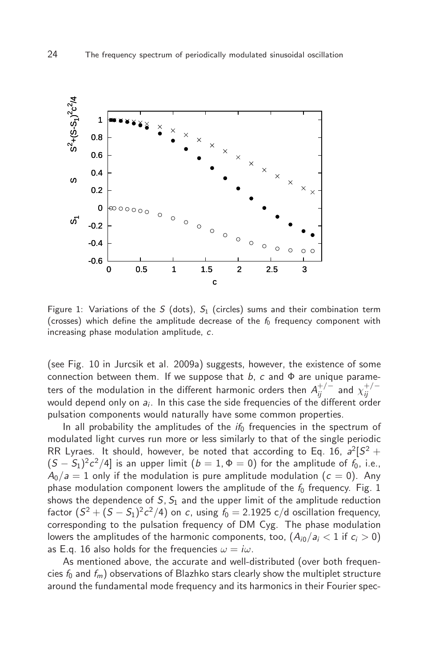

Figure 1: Variations of the *S* (dots), *S*<sub>1</sub> (circles) sums and their combination term (crosses) which define the amplitude decrease of the  $f<sub>0</sub>$  frequency component with increasing phase modulation amplitude, *c*.

(see Fig. 10 in Jurcsik et al. 2009a) suggests, however, the existence of some connection between them. If we suppose that *b*, *c* and Φ are unique parameters of the modulation in the different harmonic orders then  $A^{+/-}_{ij}$  and  $\chi^{+/-}_{ij}$ would depend only on *a*<sup>i</sup> . In this case the side frequencies of the different order pulsation components would naturally have some common properties.

In all probability the amplitudes of the *if*<sup>0</sup> frequencies in the spectrum of modulated light curves run more or less similarly to that of the single periodic RR Lyraes. It should, however, be noted that according to Eq. 16,  $a^2[S^2 +]$  $(S - S_1)^2 c^2 / 4]$  is an upper limit  $(b = 1, \Phi = 0)$  for the amplitude of  $f_0$ , i.e.,  $A_0/a = 1$  only if the modulation is pure amplitude modulation ( $c = 0$ ). Any phase modulation component lowers the amplitude of the  $f_0$  frequency. Fig. 1 shows the dependence of *S*, *S*<sup>1</sup> and the upper limit of the amplitude reduction factor  $(S^2+(S-S_1)^2c^2/4)$  on  $c$ , using  $f_0=2.1925$  c/d oscillation frequency, corresponding to the pulsation frequency of DM Cyg. The phase modulation lowers the amplitudes of the harmonic components, too,  $(A_{i0}/a_i < 1$  if  $c_i > 0$ ) as E.q. 16 also holds for the frequencies  $\omega = i\omega$ .

As mentioned above, the accurate and well-distributed (over both frequencies *f*<sup>0</sup> and *f*m) observations of Blazhko stars clearly show the multiplet structure around the fundamental mode frequency and its harmonics in their Fourier spec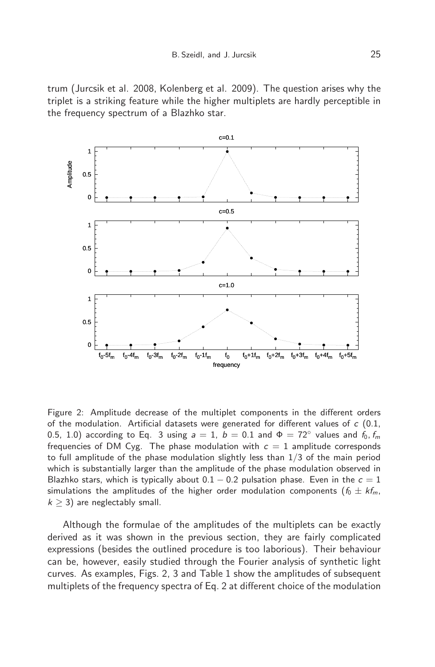trum (Jurcsik et al. 2008, Kolenberg et al. 2009). The question arises why the triplet is a striking feature while the higher multiplets are hardly perceptible in the frequency spectrum of a Blazhko star.



Figure 2: Amplitude decrease of the multiplet components in the different orders of the modulation. Artificial datasets were generated for different values of *c* (0.1, 0.5, 1.0) according to Eq. 3 using  $a = 1$ ,  $b = 0.1$  and  $\Phi = 72^\circ$  values and  $\hat{b}_0$ ,  $f_m$ frequencies of DM Cyg. The phase modulation with  $c = 1$  amplitude corresponds to full amplitude of the phase modulation slightly less than 1/3 of the main period which is substantially larger than the amplitude of the phase modulation observed in Blazhko stars, which is typically about  $0.1 - 0.2$  pulsation phase. Even in the  $c = 1$ simulations the amplitudes of the higher order modulation components ( $f_0 \pm k f_m$ ,  $k \geq 3$ ) are neglectably small.

Although the formulae of the amplitudes of the multiplets can be exactly derived as it was shown in the previous section, they are fairly complicated expressions (besides the outlined procedure is too laborious). Their behaviour can be, however, easily studied through the Fourier analysis of synthetic light curves. As examples, Figs. 2, 3 and Table 1 show the amplitudes of subsequent multiplets of the frequency spectra of Eq. 2 at different choice of the modulation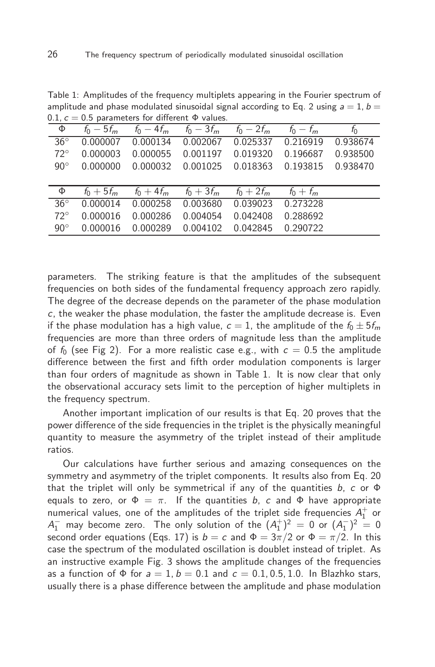| Table 1: Amplitudes of the frequency multiplets appearing in the Fourier spectrum of     |
|------------------------------------------------------------------------------------------|
| amplitude and phase modulated sinusoidal signal according to Eq. 2 using $a = 1$ , $b =$ |
| 0.1, $c = 0.5$ parameters for different $\Phi$ values.                                   |

| $\overline{\Phi}$ | $f_0 - 5f_m$ | $f_0 - 4f_m$ | $f_0-3f_m$   | $f_0 - 2f_m$ | $f_0 - f_m$ | $f_{0}$  |  |
|-------------------|--------------|--------------|--------------|--------------|-------------|----------|--|
| $36^\circ$        | 0.000007     | 0.000134     | 0.002067     | 0.025337     | 0.216919    | 0.938674 |  |
| $72^{\circ}$      | 0.000003     | 0.000055     | 0.001197     | 0.019320     | 0.196687    | 0.938500 |  |
| $90^\circ$        | 0.000000     | 0.000032     | 0.001025     | 0.018363     | 0.193815    | 0.938470 |  |
|                   |              |              |              |              |             |          |  |
| $\Phi$            | $f_0 + 5f_m$ | $f_0 + 4f_m$ | $f_0 + 3f_m$ | $f_0 + 2f_m$ | $f_0 + f_m$ |          |  |
| $36^\circ$        | 0.000014     | 0.000258     | 0.003680     | 0.039023     | 0.273228    |          |  |
| $72^{\circ}$      | 0.000016     | 0.000286     | 0.004054     | 0.042408     | 0.288692    |          |  |
| $90^{\circ}$      | 0.000016     | 0.000289     | 0.004102     | 0.042845     | 0.290722    |          |  |

parameters. The striking feature is that the amplitudes of the subsequent frequencies on both sides of the fundamental frequency approach zero rapidly. The degree of the decrease depends on the parameter of the phase modulation *c*, the weaker the phase modulation, the faster the amplitude decrease is. Even if the phase modulation has a high value,  $c = 1$ , the amplitude of the  $f_0 \pm 5f_m$ frequencies are more than three orders of magnitude less than the amplitude of  $f_0$  (see Fig 2). For a more realistic case e.g., with  $c = 0.5$  the amplitude difference between the first and fifth order modulation components is larger than four orders of magnitude as shown in Table 1. It is now clear that only the observational accuracy sets limit to the perception of higher multiplets in the frequency spectrum.

Another important implication of our results is that Eq. 20 proves that the power difference of the side frequencies in the triplet is the physically meaningful quantity to measure the asymmetry of the triplet instead of their amplitude ratios.

Our calculations have further serious and amazing consequences on the symmetry and asymmetry of the triplet components. It results also from Eq. 20 that the triplet will only be symmetrical if any of the quantities *b*, *c* or Φ equals to zero, or  $\Phi = \pi$ . If the quantities *b*, *c* and  $\Phi$  have appropriate numerical values, one of the amplitudes of the triplet side frequencies  $A_1^+$  or  $A_1^-$  may become zero. The only solution of the  $(A_1^+)^2 = 0$  or  $(A_1^-)^2 = 0$ second order equations (Eqs. 17) is  $b = c$  and  $\Phi = 3\pi/2$  or  $\Phi = \pi/2$ . In this case the spectrum of the modulated oscillation is doublet instead of triplet. As an instructive example Fig. 3 shows the amplitude changes of the frequencies as a function of  $\Phi$  for  $a = 1$ ,  $b = 0.1$  and  $c = 0.1, 0.5, 1.0$ . In Blazhko stars, usually there is a phase difference between the amplitude and phase modulation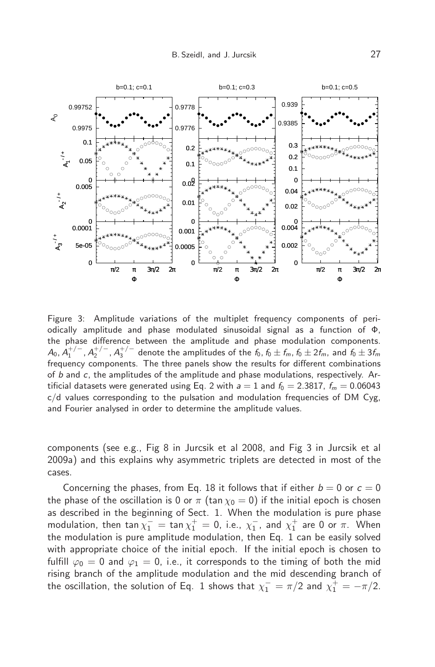

Figure 3: Amplitude variations of the multiplet frequency components of periodically amplitude and phase modulated sinusoidal signal as a function of Φ, the phase difference between the amplitude and phase modulation components.  $A_0$  ,  $A_1^{+/-}$  ,  $A_2^{+/-}$  ,  $A_3^{+/-}$  denote the amplitudes of the  $f_0$  ,  $f_0\pm f_m$ ,  $f_0\pm 2f_m$ , and  $f_0\pm 3f_m$ frequency components. The three panels show the results for different combinations of *b* and *c*, the amplitudes of the amplitude and phase modulations, respectively. Artificial datasets were generated using Eq. 2 with  $a = 1$  and  $f_0 = 2.3817$ ,  $f_m = 0.06043$  $c/d$  values corresponding to the pulsation and modulation frequencies of DM Cyg, and Fourier analysed in order to determine the amplitude values.

components (see e.g., Fig 8 in Jurcsik et al 2008, and Fig 3 in Jurcsik et al 2009a) and this explains why asymmetric triplets are detected in most of the cases.

Concerning the phases, from Eq. 18 it follows that if either  $b = 0$  or  $c = 0$ the phase of the oscillation is 0 or  $\pi$  (tan  $\chi_0 = 0$ ) if the initial epoch is chosen as described in the beginning of Sect. 1. When the modulation is pure phase modulation, then  $\tan\chi_1^- = \tan\chi_1^+ = 0$ , i.e.,  $\chi_1^-$ , and  $\chi_1^+$  are 0 or  $\pi$ . When the modulation is pure amplitude modulation, then Eq. 1 can be easily solved with appropriate choice of the initial epoch. If the initial epoch is chosen to fulfill  $\varphi_0 = 0$  and  $\varphi_1 = 0$ , i.e., it corresponds to the timing of both the mid rising branch of the amplitude modulation and the mid descending branch of the oscillation, the solution of Eq. 1 shows that  $\chi_1^- = \pi/2$  and  $\chi_1^+ = -\pi/2$ .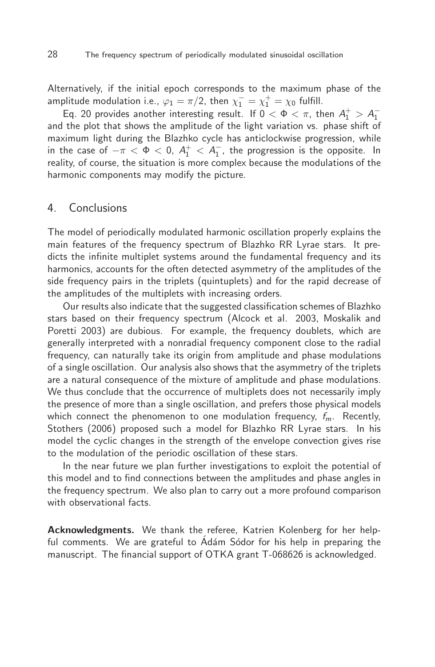Alternatively, if the initial epoch corresponds to the maximum phase of the amplitude modulation i.e.,  $\varphi_1 = \pi/2$ , then  $\chi_1^-=\chi_1^+=\chi_0$  fulfill.

Eq. 20 provides another interesting result. If  $0 < \Phi < \pi$ , then  $A_1^+ > A_1^$ and the plot that shows the amplitude of the light variation vs. phase shift of maximum light during the Blazhko cycle has anticlockwise progression, while in the case of  $-\pi < \Phi < 0$ ,  $A_1^+ < A_1^-$ , the progression is the opposite. In reality, of course, the situation is more complex because the modulations of the harmonic components may modify the picture.

### 4. Conclusions

The model of periodically modulated harmonic oscillation properly explains the main features of the frequency spectrum of Blazhko RR Lyrae stars. It predicts the infinite multiplet systems around the fundamental frequency and its harmonics, accounts for the often detected asymmetry of the amplitudes of the side frequency pairs in the triplets (quintuplets) and for the rapid decrease of the amplitudes of the multiplets with increasing orders.

Our results also indicate that the suggested classification schemes of Blazhko stars based on their frequency spectrum (Alcock et al. 2003, Moskalik and Poretti 2003) are dubious. For example, the frequency doublets, which are generally interpreted with a nonradial frequency component close to the radial frequency, can naturally take its origin from amplitude and phase modulations of a single oscillation. Our analysis also shows that the asymmetry of the triplets are a natural consequence of the mixture of amplitude and phase modulations. We thus conclude that the occurrence of multiplets does not necessarily imply the presence of more than a single oscillation, and prefers those physical models which connect the phenomenon to one modulation frequency,  $f_m$ . Recently, Stothers (2006) proposed such a model for Blazhko RR Lyrae stars. In his model the cyclic changes in the strength of the envelope convection gives rise to the modulation of the periodic oscillation of these stars.

In the near future we plan further investigations to exploit the potential of this model and to find connections between the amplitudes and phase angles in the frequency spectrum. We also plan to carry out a more profound comparison with observational facts.

Acknowledgments. We thank the referee, Katrien Kolenberg for her helpful comments. We are grateful to Adám Sódor for his help in preparing the manuscript. The financial support of OTKA grant T-068626 is acknowledged.